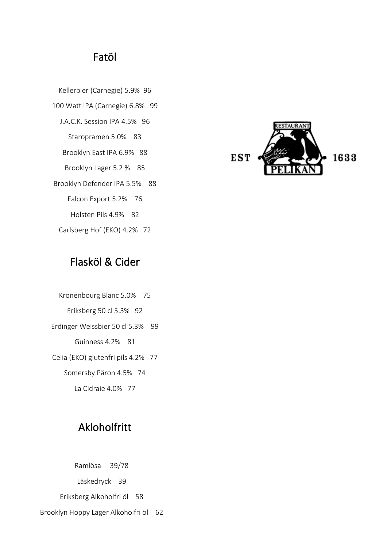# Fatöl

Kellerbier (Carnegie) 5.9% 96 100 Watt IPA (Carnegie) 6.8% 99 J.A.C.K. Session IPA 4.5% 96 Staropramen 5.0% 83 Brooklyn East IPA 6.9% 88 Brooklyn Lager 5.2 % 85 Brooklyn Defender IPA 5.5% 88 Falcon Export 5.2% 76 Holsten Pils 4.9% 82 Carlsberg Hof (EKO) 4.2% 72



# Flasköl & Cider

Kronenbourg Blanc 5.0% 75 Eriksberg 50 cl 5.3% 92 Erdinger Weissbier 50 cl 5.3% 99 Guinness 4.2% 81 Celia (EKO) glutenfri pils 4.2% 77 Somersby Päron 4.5% 74 La Cidraie 4.0% 77

# Akloholfritt

Ramlösa 39/78 Läskedryck 39 Eriksberg Alkoholfri öl 58 Brooklyn Hoppy Lager Alkoholfri öl 62